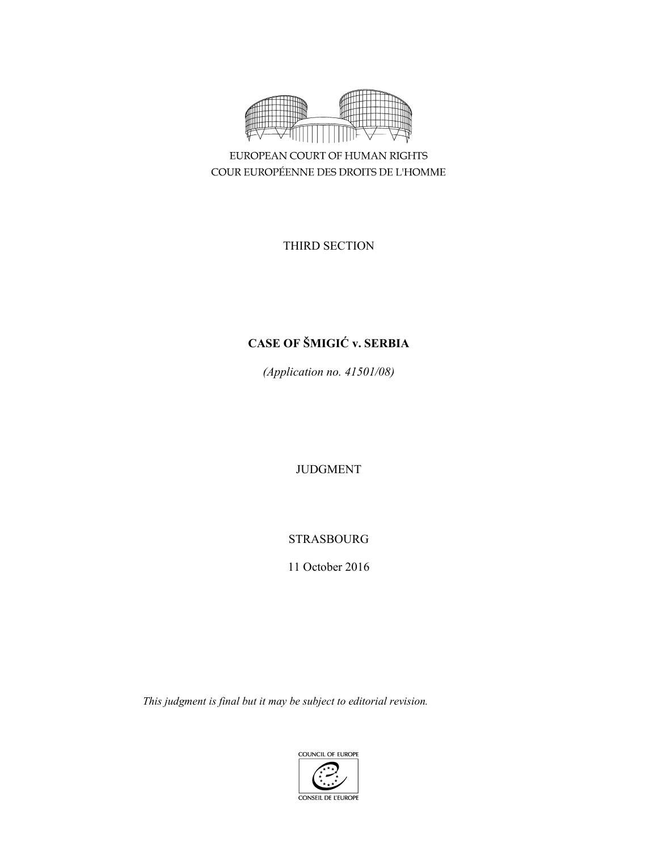

EUROPEAN COURT OF HUMAN RIGHTS COUR EUROPÉENNE DES DROITS DE L'HOMME

THIRD SECTION

# **CASE OF ŠMIGIĆ v. SERBIA**

*(Application no. 41501/08)* 

JUDGMENT

STRASBOURG

11 October 2016

*This judgment is final but it may be subject to editorial revision.*

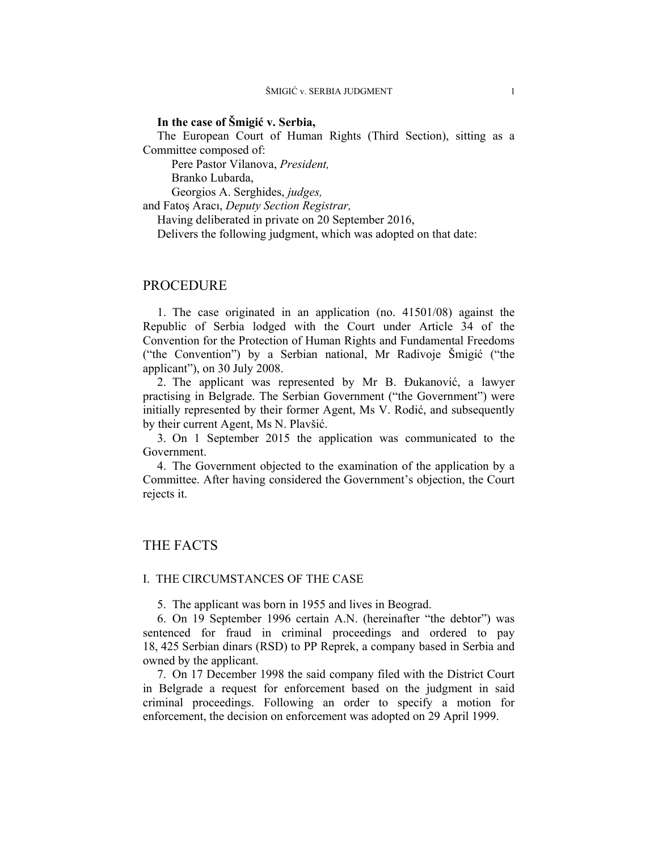## **In the case of Šmigić v. Serbia,**

The European Court of Human Rights (Third Section), sitting as a Committee composed of:

Pere Pastor Vilanova, *President,* 

Branko Lubarda,

Georgios A. Serghides, *judges,*

and Fatoş Aracı, *Deputy Section Registrar,*

Having deliberated in private on 20 September 2016,

Delivers the following judgment, which was adopted on that date:

## PROCEDURE

1. The case originated in an application (no. 41501/08) against the Republic of Serbia lodged with the Court under Article 34 of the Convention for the Protection of Human Rights and Fundamental Freedoms ("the Convention") by a Serbian national, Mr Radivoje Šmigić ("the applicant"), on 30 July 2008.

2. The applicant was represented by Mr B. Đukanović, a lawyer practising in Belgrade. The Serbian Government ("the Government") were initially represented by their former Agent, Ms V. Rodić, and subsequently by their current Agent, Ms N. Plavšić.

3. On 1 September 2015 the application was communicated to the Government.

4. The Government objected to the examination of the application by a Committee. After having considered the Government's objection, the Court rejects it.

## THE FACTS

#### I. THE CIRCUMSTANCES OF THE CASE

5. The applicant was born in 1955 and lives in Beograd.

6. On 19 September 1996 certain A.N. (hereinafter "the debtor") was sentenced for fraud in criminal proceedings and ordered to pay 18, 425 Serbian dinars (RSD) to PP Reprek, a company based in Serbia and owned by the applicant.

7. On 17 December 1998 the said company filed with the District Court in Belgrade a request for enforcement based on the judgment in said criminal proceedings. Following an order to specify a motion for enforcement, the decision on enforcement was adopted on 29 April 1999.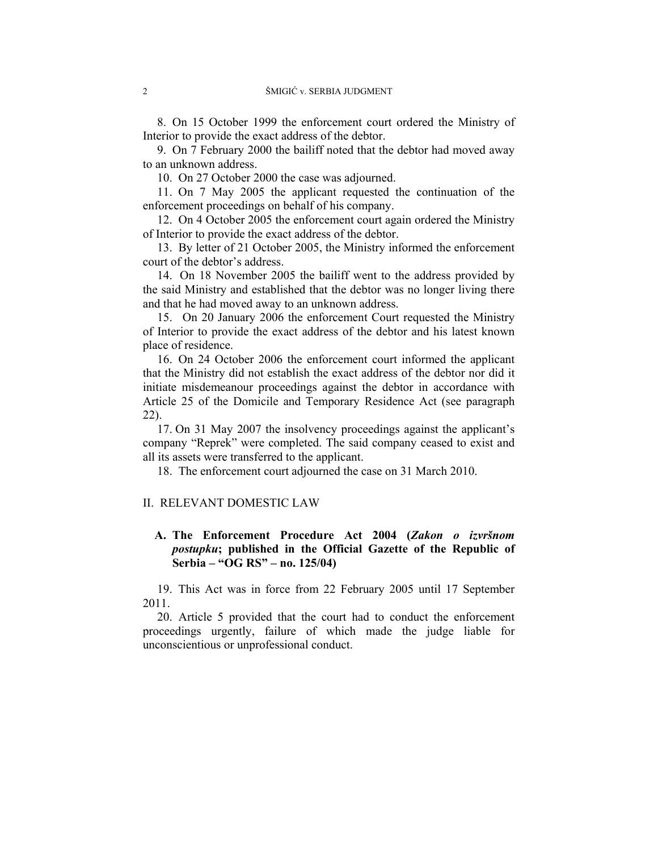8. On 15 October 1999 the enforcement court ordered the Ministry of Interior to provide the exact address of the debtor.

9. On 7 February 2000 the bailiff noted that the debtor had moved away to an unknown address.

10. On 27 October 2000 the case was adjourned.

11. On 7 May 2005 the applicant requested the continuation of the enforcement proceedings on behalf of his company.

12. On 4 October 2005 the enforcement court again ordered the Ministry of Interior to provide the exact address of the debtor.

13. By letter of 21 October 2005, the Ministry informed the enforcement court of the debtor's address.

14. On 18 November 2005 the bailiff went to the address provided by the said Ministry and established that the debtor was no longer living there and that he had moved away to an unknown address.

15. On 20 January 2006 the enforcement Court requested the Ministry of Interior to provide the exact address of the debtor and his latest known place of residence.

16. On 24 October 2006 the enforcement court informed the applicant that the Ministry did not establish the exact address of the debtor nor did it initiate misdemeanour proceedings against the debtor in accordance with Article 25 of the Domicile and Temporary Residence Act (see paragraph 22).

17. On 31 May 2007 the insolvency proceedings against the applicant's company "Reprek" were completed. The said company ceased to exist and all its assets were transferred to the applicant.

18. The enforcement court adjourned the case on 31 March 2010.

## II. RELEVANT DOMESTIC LAW

## **A. The Enforcement Procedure Act 2004 (***Zakon o izvršnom postupku***; published in the Official Gazette of the Republic of Serbia – "OG RS" – no. 125/04)**

19. This Act was in force from 22 February 2005 until 17 September 2011.

20. Article 5 provided that the court had to conduct the enforcement proceedings urgently, failure of which made the judge liable for unconscientious or unprofessional conduct.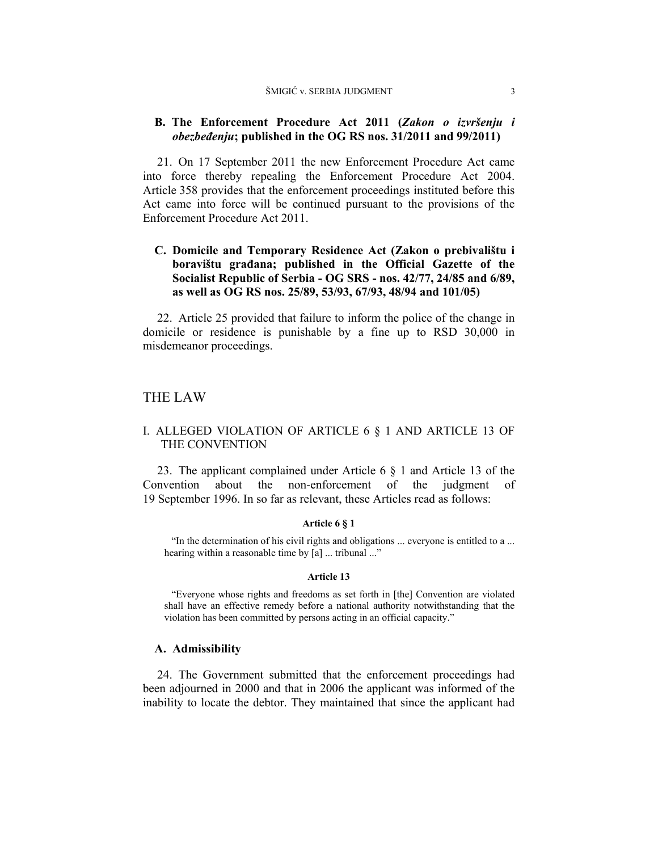## **B. The Enforcement Procedure Act 2011 (***Zakon o izvršenju i obezbeđenju***; published in the OG RS nos. 31/2011 and 99/2011)**

21. On 17 September 2011 the new Enforcement Procedure Act came into force thereby repealing the Enforcement Procedure Act 2004. Article 358 provides that the enforcement proceedings instituted before this Act came into force will be continued pursuant to the provisions of the Enforcement Procedure Act 2011.

## **C. Domicile and Temporary Residence Act (Zakon o prebivalištu i boravištu građana; published in the Official Gazette of the Socialist Republic of Serbia - OG SRS - nos. 42/77, 24/85 and 6/89, as well as OG RS nos. 25/89, 53/93, 67/93, 48/94 and 101/05)**

22. Article 25 provided that failure to inform the police of the change in domicile or residence is punishable by a fine up to RSD 30,000 in misdemeanor proceedings.

## THE LAW

## I. ALLEGED VIOLATION OF ARTICLE 6 § 1 AND ARTICLE 13 OF THE CONVENTION

23. The applicant complained under Article 6 § 1 and Article 13 of the Convention about the non-enforcement of the judgment of 19 September 1996. In so far as relevant, these Articles read as follows:

#### **Article 6 § 1**

"In the determination of his civil rights and obligations ... everyone is entitled to a ... hearing within a reasonable time by [a] ... tribunal ..."

#### **Article 13**

"Everyone whose rights and freedoms as set forth in [the] Convention are violated shall have an effective remedy before a national authority notwithstanding that the violation has been committed by persons acting in an official capacity."

#### **A. Admissibility**

24. The Government submitted that the enforcement proceedings had been adjourned in 2000 and that in 2006 the applicant was informed of the inability to locate the debtor. They maintained that since the applicant had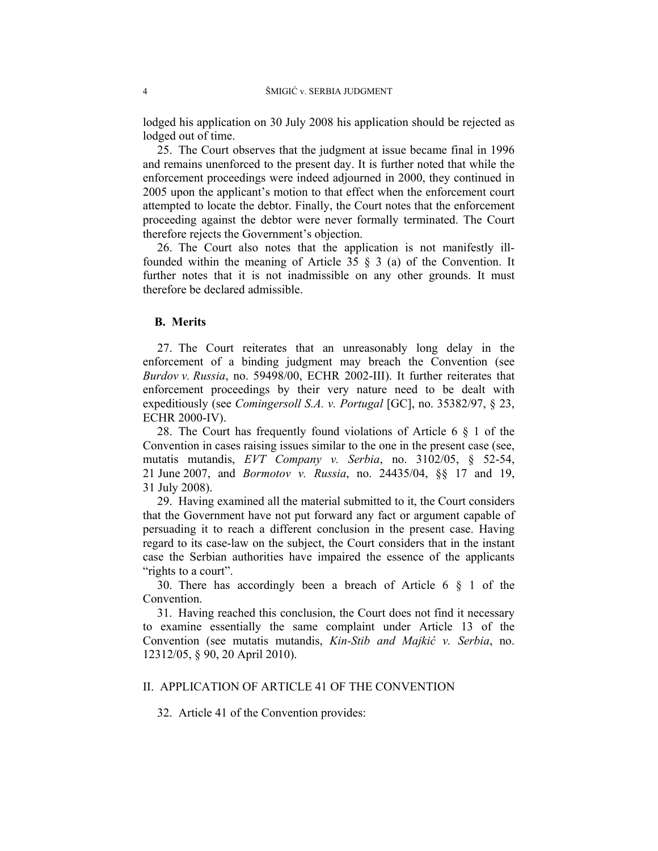lodged his application on 30 July 2008 his application should be rejected as lodged out of time.

25. The Court observes that the judgment at issue became final in 1996 and remains unenforced to the present day. It is further noted that while the enforcement proceedings were indeed adjourned in 2000, they continued in 2005 upon the applicant's motion to that effect when the enforcement court attempted to locate the debtor. Finally, the Court notes that the enforcement proceeding against the debtor were never formally terminated. The Court therefore rejects the Government's objection.

26. The Court also notes that the application is not manifestly illfounded within the meaning of Article 35 § 3 (a) of the Convention. It further notes that it is not inadmissible on any other grounds. It must therefore be declared admissible.

### **B. Merits**

27. The Court reiterates that an unreasonably long delay in the enforcement of a binding judgment may breach the Convention (see *Burdov v. Russia*, no. 59498/00, ECHR 2002-III). It further reiterates that enforcement proceedings by their very nature need to be dealt with expeditiously (see *Comingersoll S.A. v. Portugal* [GC], no. 35382/97, § 23, ECHR 2000-IV).

28. The Court has frequently found violations of Article  $6 \S 1$  of the Convention in cases raising issues similar to the one in the present case (see, mutatis mutandis, *EVT Company v. Serbia*, no. 3102/05, § 52-54, 21 June 2007, and *Bormotov v. Russia*, no. 24435/04, §§ 17 and 19, 31 July 2008).

29. Having examined all the material submitted to it, the Court considers that the Government have not put forward any fact or argument capable of persuading it to reach a different conclusion in the present case. Having regard to its case-law on the subject, the Court considers that in the instant case the Serbian authorities have impaired the essence of the applicants "rights to a court".

30. There has accordingly been a breach of Article 6 § 1 of the Convention.

31. Having reached this conclusion, the Court does not find it necessary to examine essentially the same complaint under Article 13 of the Convention (see mutatis mutandis, *Kin-Stib and Majkić v. Serbia*, no. 12312/05, § 90, 20 April 2010).

#### II. APPLICATION OF ARTICLE 41 OF THE CONVENTION

32. Article 41 of the Convention provides: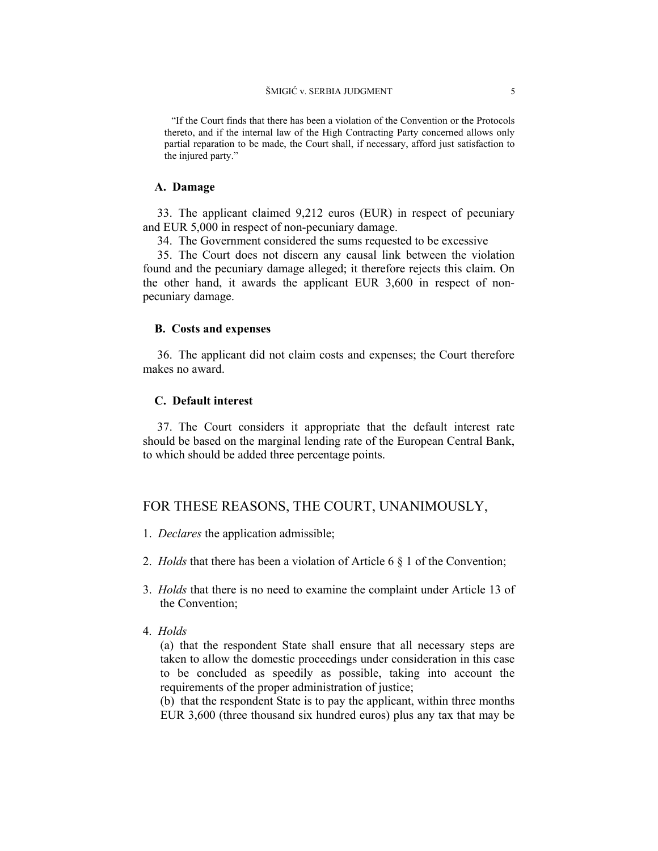"If the Court finds that there has been a violation of the Convention or the Protocols thereto, and if the internal law of the High Contracting Party concerned allows only partial reparation to be made, the Court shall, if necessary, afford just satisfaction to the injured party."

#### **A. Damage**

33. The applicant claimed 9,212 euros (EUR) in respect of pecuniary and EUR 5,000 in respect of non-pecuniary damage.

34. The Government considered the sums requested to be excessive

35. The Court does not discern any causal link between the violation found and the pecuniary damage alleged; it therefore rejects this claim. On the other hand, it awards the applicant EUR 3,600 in respect of nonpecuniary damage.

#### **B. Costs and expenses**

36. The applicant did not claim costs and expenses; the Court therefore makes no award.

## **C. Default interest**

37. The Court considers it appropriate that the default interest rate should be based on the marginal lending rate of the European Central Bank, to which should be added three percentage points.

## FOR THESE REASONS, THE COURT, UNANIMOUSLY,

- 1. *Declares* the application admissible;
- 2. *Holds* that there has been a violation of Article 6 § 1 of the Convention;
- 3. *Holds* that there is no need to examine the complaint under Article 13 of the Convention;
- 4. *Holds*

(a) that the respondent State shall ensure that all necessary steps are taken to allow the domestic proceedings under consideration in this case to be concluded as speedily as possible, taking into account the requirements of the proper administration of justice;

(b) that the respondent State is to pay the applicant, within three months EUR 3,600 (three thousand six hundred euros) plus any tax that may be